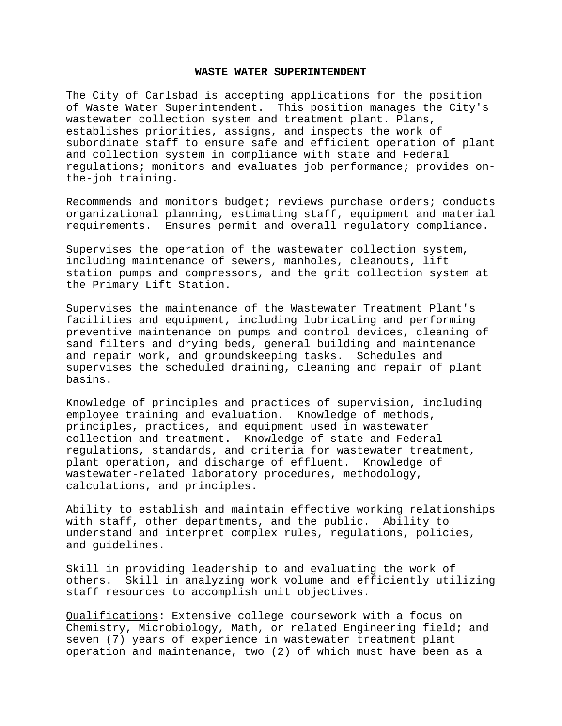## **WASTE WATER SUPERINTENDENT**

The City of Carlsbad is accepting applications for the position of Waste Water Superintendent. This position manages the City's wastewater collection system and treatment plant. Plans, establishes priorities, assigns, and inspects the work of subordinate staff to ensure safe and efficient operation of plant and collection system in compliance with state and Federal regulations; monitors and evaluates job performance; provides onthe-job training.

Recommends and monitors budget; reviews purchase orders; conducts organizational planning, estimating staff, equipment and material requirements. Ensures permit and overall regulatory compliance.

Supervises the operation of the wastewater collection system, including maintenance of sewers, manholes, cleanouts, lift station pumps and compressors, and the grit collection system at the Primary Lift Station.

Supervises the maintenance of the Wastewater Treatment Plant's facilities and equipment, including lubricating and performing preventive maintenance on pumps and control devices, cleaning of sand filters and drying beds, general building and maintenance and repair work, and groundskeeping tasks. Schedules and supervises the scheduled draining, cleaning and repair of plant basins.

Knowledge of principles and practices of supervision, including employee training and evaluation. Knowledge of methods, principles, practices, and equipment used in wastewater collection and treatment. Knowledge of state and Federal regulations, standards, and criteria for wastewater treatment, plant operation, and discharge of effluent. Knowledge of wastewater-related laboratory procedures, methodology, calculations, and principles.

Ability to establish and maintain effective working relationships with staff, other departments, and the public. Ability to understand and interpret complex rules, regulations, policies, and guidelines.

Skill in providing leadership to and evaluating the work of others. Skill in analyzing work volume and efficiently utilizing staff resources to accomplish unit objectives.

Qualifications: Extensive college coursework with a focus on Chemistry, Microbiology, Math, or related Engineering field; and seven (7) years of experience in wastewater treatment plant operation and maintenance, two (2) of which must have been as a